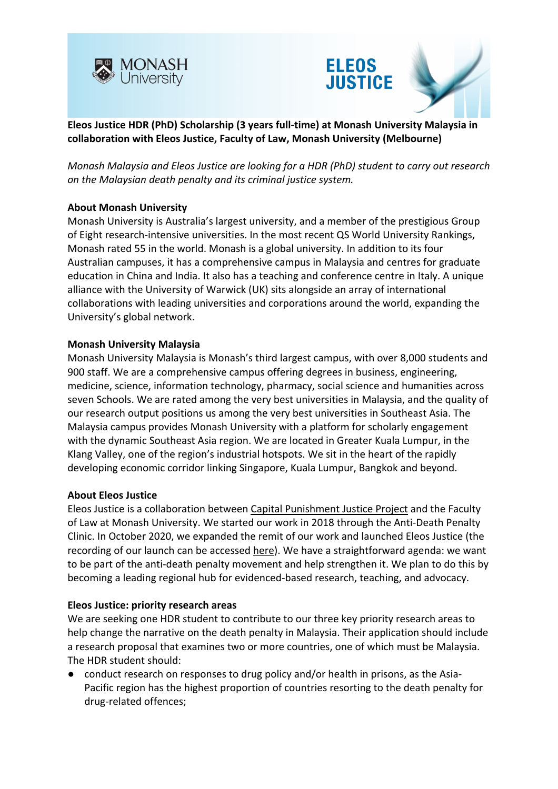





*Monash Malaysia and Eleos Justice are looking for a HDR (PhD) student to carry out research on the Malaysian death penalty and its criminal justice system.*

### **About Monash University**

Monash University is Australia's largest university, and a member of the prestigious Group of Eight research-intensive universities. In the most recent QS World University Rankings, Monash rated 55 in the world. Monash is a global university. In addition to its four Australian campuses, it has a comprehensive campus in Malaysia and centres for graduate education in China and India. It also has a teaching and conference centre in Italy. A unique alliance with the University of Warwick (UK) sits alongside an array of international collaborations with leading universities and corporations around the world, expanding the University's global network.

### **Monash University Malaysia**

Monash University Malaysia is Monash's third largest campus, with over 8,000 students and 900 staff. We are a comprehensive campus offering degrees in business, engineering, medicine, science, information technology, pharmacy, social science and humanities across seven Schools. We are rated among the very best universities in Malaysia, and the quality of our research output positions us among the very best universities in Southeast Asia. The Malaysia campus provides Monash University with a platform for scholarly engagement with the dynamic Southeast Asia region. We are located in Greater Kuala Lumpur, in the Klang Valley, one of the region's industrial hotspots. We sit in the heart of the rapidly developing economic corridor linking Singapore, Kuala Lumpur, Bangkok and beyond.

### **About Eleos Justice**

Eleos Justice is a collaboration between Capital Punishment Justice Project and the Faculty of Law at Monash University. We started our work in 2018 through the Anti-Death Penalty Clinic. In October 2020, we expanded the remit of our work and launched Eleos Justice (the recording of our launch can be accessed here). We have a straightforward agenda: we want to be part of the anti-death penalty movement and help strengthen it. We plan to do this by becoming a leading regional hub for evidenced-based research, teaching, and advocacy.

### **Eleos Justice: priority research areas**

We are seeking one HDR student to contribute to our three key priority research areas to help change the narrative on the death penalty in Malaysia. Their application should include a research proposal that examines two or more countries, one of which must be Malaysia. The HDR student should:

● conduct research on responses to drug policy and/or health in prisons, as the Asia-Pacific region has the highest proportion of countries resorting to the death penalty for drug-related offences;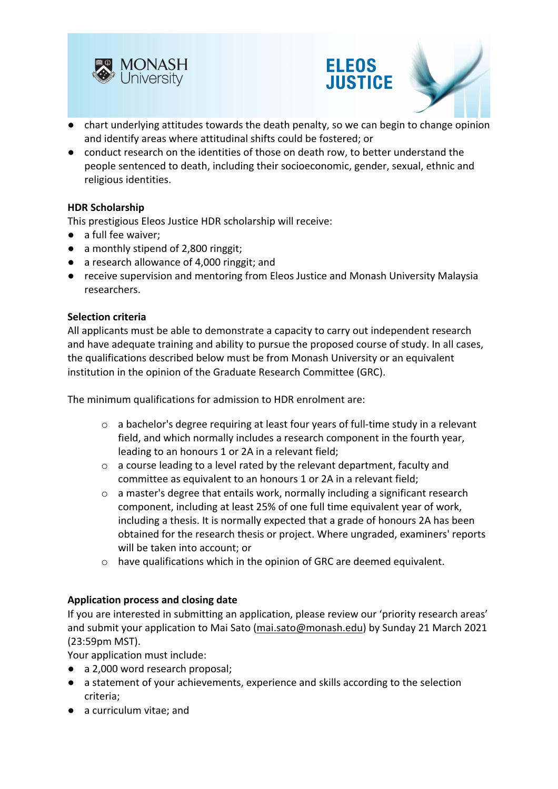





- chart underlying attitudes towards the death penalty, so we can begin to change opinion and identify areas where attitudinal shifts could be fostered; or
- conduct research on the identities of those on death row, to better understand the people sentenced to death, including their socioeconomic, gender, sexual, ethnic and religious identities.

# **HDR Scholarship**

This prestigious Eleos Justice HDR scholarship will receive:

- a full fee waiver;
- a monthly stipend of 2,800 ringgit;
- a research allowance of 4,000 ringgit; and
- receive supervision and mentoring from Eleos Justice and Monash University Malaysia researchers.

### **Selection criteria**

All applicants must be able to demonstrate a capacity to carry out independent research and have adequate training and ability to pursue the proposed course of study. In all cases, the qualifications described below must be from Monash University or an equivalent institution in the opinion of the Graduate Research Committee (GRC).

The minimum qualifications for admission to HDR enrolment are:

- o a bachelor's degree requiring at least four years of full-time study in a relevant field, and which normally includes a research component in the fourth year, leading to an honours 1 or 2A in a relevant field;
- o a course leading to a level rated by the relevant department, faculty and committee as equivalent to an honours 1 or 2A in a relevant field;
- o a master's degree that entails work, normally including a significant research component, including at least 25% of one full time equivalent year of work, including a thesis. It is normally expected that a grade of honours 2A has been obtained for the research thesis or project. Where ungraded, examiners' reports will be taken into account; or
- o have qualifications which in the opinion of GRC are deemed equivalent.

### **Application process and closing date**

If you are interested in submitting an application, please review our 'priority research areas' and submit your application to Mai Sato (mai.sato@monash.edu) by Sunday 21 March 2021 (23:59pm MST).

Your application must include:

- a 2,000 word research proposal;
- a statement of your achievements, experience and skills according to the selection criteria;
- a curriculum vitae; and